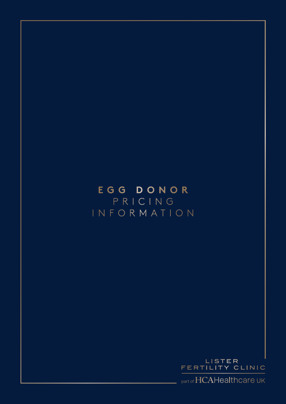### **E G G D O N O R**  P R I C I N G I N F O R M A T I O N



part of HCAHealthcare UK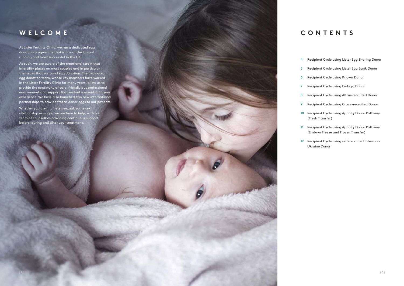### **WELCOME**

At Lister Fertility Clinic, we run a dedicated egg donation programme that is one of the longest running and most successful in the UK.

As such, we are aware of the emotional strain that infertility places on most couples and in particular the issues that surround egg donation. The dedicated egg donation team, whose key members have worked in the Lister Fertility Clinic for many years, allow us to provide the continuity of care, friendly but professional environment and support that we feel is essential to your experience. We have also launched two new international partnerships to provide frozen donor eggs to our patients.

Whether you are in a heterosexual, same sex relationship or single, we are here to help, with our team of counsellors providing continuous support before, during and after your treatment.

### **C O N T E N T S**

4 Recipient Cycle using Lister Egg Sharing Donor Recipient Cycle using Lister Egg Bank Donor Recipient Cycle using Known Donor Recipient Cycle using Embryo Donor Recipient Cycle using Altrui-recruited Donor Recipient Cycle using Grace-recruited Donor Recipient Cycle using Apricity Donor Pathway (Fresh Transfer) Recipient Cycle using Apricity Donor Pathway (Embryo Freeze and Frozen Transfer)

12 Recipient Cycle using self-recruited Intersono Ukraine Donor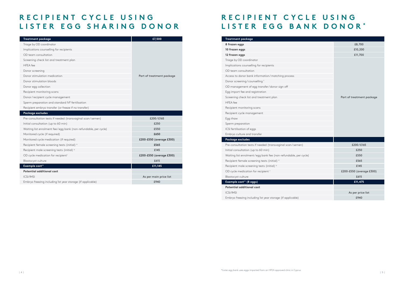# **RECIPIENT CYCLE USING LISTER EGG BANK DONOR \***

# R E C I P I E N T C Y C L E U S I N G LISTER EGG SHARING DONOR

| <b>Treatment package</b>                                        | £7,500                    |
|-----------------------------------------------------------------|---------------------------|
| Triage by OD coordinator                                        |                           |
| Implications counselling for recipients                         |                           |
| OD team consultation                                            |                           |
| Screening check list and treatment plan                         |                           |
| <b>HFEA</b> fee                                                 |                           |
| Donor screening                                                 |                           |
| Donor stimulation medication                                    | Part of treatment package |
| Donor stimulation bloods                                        |                           |
| Donor egg collection                                            |                           |
| Recipient monitoring scans                                      |                           |
| Donor/recipient cycle management                                |                           |
| Sperm preparation and standard IVF fertilisation                |                           |
| Recipient embryo transfer (or freeze if no transfer)            |                           |
| Package excludes                                                |                           |
| Pre-consultation tests if needed (transvaginal scan/semen)      | £200/£165                 |
| Initial consultation (up to 60 min)                             | £250                      |
| Waiting list enrolment fee/egg bank (non-refundable, per cycle) | £550                      |
| Monitored cycle (if required)                                   | £650                      |
| Monitored cycle medication (if required)                        | £200-£550 (average £300)  |
| Recipient female screening tests (initial) <sup>a</sup>         | £565                      |
| Recipient male screening tests (initial) b                      | £145                      |
| OD cycle medication for recipient <sup>c</sup>                  | £200-£550 (average £300)  |
| Blastocyst culture                                              | £615                      |
| <b>Example cost**</b>                                           | £11,145                   |
| Potential additional cost                                       |                           |
| <b>ICSI/IMSI</b>                                                | As per main price list    |
| Embryo freezing including 1st year storage (if applicable)      | £940                      |

| <b>Treatment package</b>                                        |                           |
|-----------------------------------------------------------------|---------------------------|
| 8 frozen eggs                                                   | £8,700                    |
| 10 frozen eggs                                                  | £10,200                   |
| 12 frozen eggs                                                  | £11,700                   |
| Triage by OD coordinator                                        |                           |
| Implications counselling for recipients                         |                           |
| OD team consultation                                            |                           |
| Access to donor bank information/matching process               |                           |
| Donor screening/counselling f                                   |                           |
| OD management of egg transfer/donor sign off                    |                           |
| Egg import fee and registration                                 |                           |
| Screening check list and treatment plan                         | Part of treatment package |
| <b>HFEA</b> fee                                                 |                           |
| Recipient monitoring scans                                      |                           |
| Recipient cycle management                                      |                           |
| Egg thaw                                                        |                           |
| Sperm preparation                                               |                           |
| ICSI fertilisation of eggs                                      |                           |
| Embryo culture and transfer                                     |                           |
| Package excludes                                                |                           |
| Pre-consultation tests if needed (transvaginal scan/semen)      | £200/£165                 |
| Initial consultation (up to 60 min)                             | £250                      |
| Waiting list enrolment/egg bank fee (non-refundable, per cycle) | £550                      |
| Recipient female screening tests (initial) <sup>a</sup>         | £565                      |
| Recipient male screening tests (initial) b                      | £145                      |
| OD cycle medication for recipient c                             | £200-£550 (average £300)  |
| Blastocyst culture                                              | £615                      |
| Example cost** (8 eggs)                                         | £11,475                   |
| <b>Potential additional cost</b>                                |                           |
| <b>ICSI/IMSI</b>                                                | As per price list         |
| Embryo freezing including 1st year storage (if applicable)      | £940                      |
|                                                                 |                           |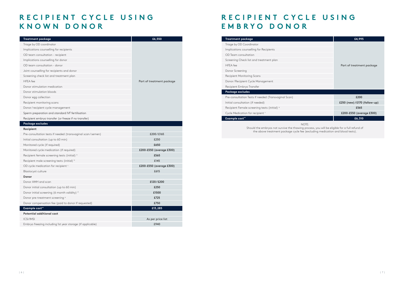### R E C I P I E N T C Y C L E U S I N G **KNOWN DONOR**

# R E C I P I E N T C Y C L E U S I N G **EMBRYO DONOR**

| Treatment package                                          | £6,550                    |
|------------------------------------------------------------|---------------------------|
| Triage by OD coordinator                                   |                           |
| Implications counselling for recipients                    |                           |
| OD team consultation - recipient                           |                           |
| Implications counselling for donor                         |                           |
| OD team consultation - donor                               |                           |
| Joint counselling for recipients and donor                 |                           |
| Screening check list and treatment plan                    |                           |
| <b>HFEA</b> fee                                            | Part of treatment package |
| Donor stimulation medication                               |                           |
| Donor stimulation bloods                                   |                           |
| Donor egg collection                                       |                           |
| Recipient monitoring scans                                 |                           |
| Donor/recipient cycle management                           |                           |
| Sperm preparation and standard IVF fertilisation           |                           |
| Recipient embryo transfer (or freeze if no transfer)       |                           |
| Package excludes                                           |                           |
| Recipient                                                  |                           |
| Pre-consultation tests if needed (transvaginal scan/semen) | £200/£165                 |
| Initial consultation (up to 60 min)                        | £250                      |
| Monitored cycle (if required)                              | £650                      |
| Monitored cycle medication (if required)                   | £200-£550 (average £300)  |
| Recipient female screening tests (initial) <sup>a</sup>    | £565                      |
| Recipient male screening tests (initial) b                 | £145                      |
| OD cycle medication for recipient c                        | £200-£550 (average £300)  |
| Blastocyst culture                                         | £615                      |
| <b>Donor</b>                                               |                           |
| Donor AMH and scan                                         | £120/£200                 |
| Donor initial consultation (up to 60 min)                  | £250                      |
| Donor initial screening (6 month validity) d               | £1500                     |
| Donor pre-treatment screening <sup>e</sup>                 | £725                      |
| Donor compensation fee (paid to donor if requested)        | £750                      |
| Example cost**                                             | £13,285                   |
| <b>Potential additional cost</b>                           |                           |
| <b>ICSI/IMSI</b>                                           | As per price list         |
| Embryo freezing including 1st year storage (if applicable) | £940                      |

| <b>Treatment package</b>                                                                                                                                                                | £4,995                        |  |
|-----------------------------------------------------------------------------------------------------------------------------------------------------------------------------------------|-------------------------------|--|
| Triage by OD Coordinator                                                                                                                                                                |                               |  |
| Implications counselling for Recipients                                                                                                                                                 |                               |  |
| OD Team consultation                                                                                                                                                                    |                               |  |
| Screening Check list and treatment plan                                                                                                                                                 |                               |  |
| <b>HFEA</b> fee                                                                                                                                                                         | Part of treatment package     |  |
| Donor Screening                                                                                                                                                                         |                               |  |
| Recipient Monitoring Scans                                                                                                                                                              |                               |  |
| Donor/Recipient Cycle Management                                                                                                                                                        |                               |  |
| Recipient Embryo Transfer                                                                                                                                                               |                               |  |
| <b>Package excludes</b>                                                                                                                                                                 |                               |  |
| Pre-consultation Tests if needed (Transvaginal Scan)                                                                                                                                    | £200                          |  |
| Initial consultation (if needed)                                                                                                                                                        | £250 (new) / £170 (follow-up) |  |
| Recipient Female screening tests (initial) <sup>a</sup>                                                                                                                                 | £565                          |  |
| Cycle Medication for recipient c                                                                                                                                                        | £200-£550 (average £300)      |  |
| Example cost**                                                                                                                                                                          | £6,310                        |  |
| NOTE:<br>Should the embryos not survive the thawing process, you will be eligible for a full refund of<br>the above treatment package cycle fee (excluding medication and blood tests). |                               |  |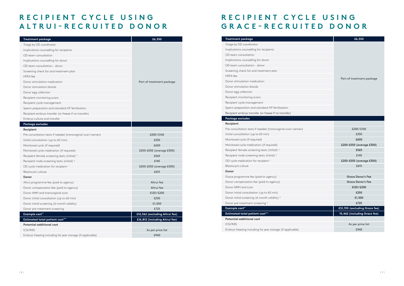# R E C I P I E N T C Y C L E U S I N G **ALTRUI-RECRUITED DONOR**

# R E C I P I E N T C Y C L E U S I N G **GRACE-RECRUITED DONOR**

| <b>Treatment package</b>                                   | £6,550                         |
|------------------------------------------------------------|--------------------------------|
| Triage by OD coordinator                                   |                                |
| Implications counselling for recipients                    |                                |
| OD team consultation                                       |                                |
| Implications counselling for donor                         |                                |
| OD team consultation - donor                               |                                |
| Screening check list and treatment plan                    |                                |
| <b>HFEA</b> fee                                            |                                |
| Donor stimulation medication                               | Part of treatment package      |
| Donor stimulation bloods                                   |                                |
| Donor egg collection                                       |                                |
| Recipient monitoring scans                                 |                                |
| Recipient cycle management                                 |                                |
| Sperm preparation and standard IVF fertilisation           |                                |
| Recipient embryo transfer (or freeze if no transfer)       |                                |
| Embryo culture and transfer                                |                                |
| Package excludes                                           |                                |
| Recipient                                                  |                                |
| Pre-consultation tests if needed (transvaginal scan/semen) | £200/£165                      |
| Initial consultation (up to 60 min)                        | £250                           |
| Monitored cycle (if required)                              | £650                           |
| Monitored cycle medication (if required)                   | £200-£550 (average £300)       |
| Recipient female screening tests (initial) <sup>a</sup>    | £565                           |
| Recipient male screening tests (initial) b                 | £145                           |
| OD cycle medication for recipient c                        | £200-£550 (average £300)       |
| Blastocyst culture                                         | £615                           |
| <b>Donor</b>                                               |                                |
| Altrui programme fee (paid to agency)                      | Altrui fee                     |
| Donor compensation fee (paid to agency)                    | Altrui fee                     |
| Donor AMH and transvaginal scan                            | £120/£200                      |
| Donor initial consultation (up to 60 min)                  | £250                           |
| Donor initial screening (6 month validity)                 | £1,500                         |
| Donor pre-treatment screening                              | £725                           |
| Example cost**                                             | £12,562 (excluding Altrui fee) |
| <b>Estimated total patient cost***</b>                     | £16,812 (including Altrui fee) |
| <b>Potential additional cost</b>                           |                                |
| <b>ICSI/IMSI</b>                                           | As per price list              |
| Embryo freezing including 1st year storage (if applicable) | £940                           |

| £6,550                    |
|---------------------------|
|                           |
| Part of treatment package |
|                           |

| £200/£165                     |
|-------------------------------|
| £250                          |
| £650                          |
| £200-£550 (average £300)      |
| £565                          |
| £145                          |
| £200-£550 (average £300)      |
| £615                          |
|                               |
| Grace Donor's Fee             |
| Grace Donor's Fee             |
| £120/£200                     |
| £250                          |
| £1,500                        |
| £725                          |
| £12,310 (excluding Grace fee) |
| 15,462 (including Grace fee)  |
|                               |

| <b>Treatment package</b>                                   | £6,550                        |
|------------------------------------------------------------|-------------------------------|
| Triage by OD coordinator                                   |                               |
| Implications counselling for recipients                    |                               |
| OD team consultation                                       |                               |
| Implications counselling for donor                         |                               |
| OD team consultation - donor                               |                               |
| Screening check list and treatment plan                    |                               |
| <b>HFEA</b> fee                                            |                               |
| Donor stimulation medication                               | Part of treatment package     |
| Donor stimulation bloods                                   |                               |
| Donor egg collection                                       |                               |
| Recipient monitoring scans                                 |                               |
| Recipient cycle management                                 |                               |
| Sperm preparation and standard IVF fertilisation           |                               |
| Recipient embryo transfer (or freeze if no transfer)       |                               |
| Package excludes                                           |                               |
| Recipient                                                  |                               |
| Pre-consultation tests if needed (transvaginal scan/semen) | £200/£165                     |
| Initial consultation (up to 60 min)                        | £250                          |
| Monitored cycle (if required)                              | £650                          |
| Monitored cycle medication (if required)                   | £200-£550 (average £300)      |
| Recipient female screening tests (initial) <sup>a</sup>    | £565                          |
| Recipient male screening tests (initial) b                 | £145                          |
| OD cycle medication for recipient c                        | £200-£550 (average £300)      |
| Blastocyst culture                                         | £615                          |
| Donor                                                      |                               |
| Grace programme fee (paid to agency)                       | <b>Grace Donor's Fee</b>      |
| Donor compensation fee (paid to agency)                    | <b>Grace Donor's Fee</b>      |
| Donor AMH and scan                                         | £120/£200                     |
| Donor initial consultation (up to 60 min)                  | £250                          |
| Donor initial screening (6 month validity) d               | £1,500                        |
| Donor pre-treatment screening <sup>e</sup>                 | £725                          |
| Example cost**                                             | £12,310 (excluding Grace fee) |
| <b>Estimated total patient cost***</b>                     | 15,462 (including Grace fee)  |
| Potential additional cost                                  |                               |
| <b>ICSI/IMSI</b>                                           | As per price list             |
|                                                            |                               |

Embryo freezing including 1st year storage (if applicable) **Example 2018** 2019 12:30 EP40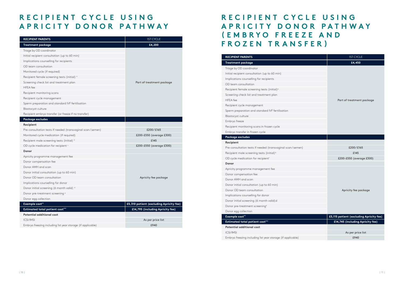# **R E C I P I E N T C Y C L E U S I N G A P R I C I T Y D O N O R P A T H W A Y**

| <b>RECIPIENT PARENTS</b>                                   | 1ST CYCLE                               |  |
|------------------------------------------------------------|-----------------------------------------|--|
| <b>Treatment package</b>                                   | £4,200                                  |  |
| Triage by OD coordinator                                   |                                         |  |
| Initial recipient consultation (up to 60 min)              |                                         |  |
| Implications counselling for recipients                    |                                         |  |
| OD team consultation                                       |                                         |  |
| Monitored cycle (if required)                              |                                         |  |
| Recipient female screening tests (initial) <sup>a</sup>    |                                         |  |
| Screening check list and treatment plan                    | Part of treatment package               |  |
| <b>HFEA</b> fee                                            |                                         |  |
| Recipient monitoring scans                                 |                                         |  |
| Recipient cycle management                                 |                                         |  |
| Sperm preparation and standard IVF fertilisation           |                                         |  |
| Blastocyst culture                                         |                                         |  |
| Recipient embryo transfer (or freeze if no transfer)       |                                         |  |
| Package excludes                                           |                                         |  |
| Recipient                                                  |                                         |  |
| Pre-consultation tests if needed (transvaginal scan/semen) | £200/£165                               |  |
| Monitored cycle medication (if required)                   | £200-£550 (average £300)                |  |
| Recipient male screening tests (initial) b                 | £145                                    |  |
| OD cycle medication for recipient c                        | £200-£550 (average £300)                |  |
| Donor                                                      |                                         |  |
| Apricity programme management fee                          |                                         |  |
| Donor compensation fee                                     |                                         |  |
| Donor AMH and scan                                         |                                         |  |
| Donor initial consultation (up to 60 min)                  |                                         |  |
| Donor OD team consultation                                 | Apricity fee package                    |  |
| Implications counselling for donor                         |                                         |  |
| Donor initial screening (6 month valid) <sup>d</sup>       |                                         |  |
| Donor pre-treatment screening <sup>e</sup>                 |                                         |  |
| Donor egg collection                                       |                                         |  |
| Example cost**                                             | £5,310 patient (excluding Apricity fee) |  |
| <b>Estimated total patient cost***</b>                     | £14,795 (including Apricity fee)        |  |
| <b>Potential additional cost</b>                           |                                         |  |
| <b>ICSI/IMSI</b>                                           | As per price list                       |  |
| Embryo freezing including 1st year storage (if applicable) | £940                                    |  |

# **R E C I P I E N T C Y C L E U S I N G A P R I C I T Y D O N O R P A T H W A Y ( E M B R Y O F R E E Z E A N D F R O Z E N T R A N S F E R )**

| <b>RECIPIENT PARENTS</b>                                   | <b>1ST CYCLE</b>          |
|------------------------------------------------------------|---------------------------|
| <b>Treatment package</b>                                   | £4,450                    |
| Triage by OD coordinator                                   |                           |
| Initial recipient consultation (up to 60 min)              |                           |
| Implications counselling for recipients                    |                           |
| OD team consultation                                       |                           |
| Recipient female screening tests (initial) <sup>a</sup>    |                           |
| Screening check list and treatment plan                    |                           |
| <b>HFEA</b> fee                                            | Part of treatment         |
| Recipient cycle management                                 |                           |
| Sperm preparation and standard IVF fertilisation           |                           |
| Blastocyst culture                                         |                           |
| Embryo freeze                                              |                           |
| Recipient monitoring scans in frozen cycle                 |                           |
| Embryo transfer in frozen cycle                            |                           |
| Package excludes                                           |                           |
| Recipient                                                  |                           |
| Pre-consultation tests if needed (transvaginal scan/semen) | £200/£165                 |
| Recipient male screening tests (initial) <sup>b</sup>      | £145                      |
| OD cycle medication for recipient <sup>c</sup>             | £200-£550 (averac         |
| Donor                                                      |                           |
| Apricity programme management fee                          |                           |
| Donor compensation fee                                     |                           |
| Donor AMH and scan                                         |                           |
| Donor initial consultation (up to 60 min)                  |                           |
| Donor OD team consultation                                 | Apricity fee pac          |
| Implications counselling for donor                         |                           |
| Donor initial screening (6 month valid)d                   |                           |
| Donor pre-treatment screening <sup>e</sup>                 |                           |
| Donor egg collection                                       |                           |
| Example cost**                                             | £5,115 patient (excluding |
| <b>Estimated total patient cost***</b>                     | £14,745 (including Ap     |
| Potential additional cost                                  |                           |
| <b>ICSI/IMSI</b>                                           | As per price I            |

Embryo freezing including 1st year storage (if applicable) **EXAM** Embryo freezing including 1st year storage (if applicable)

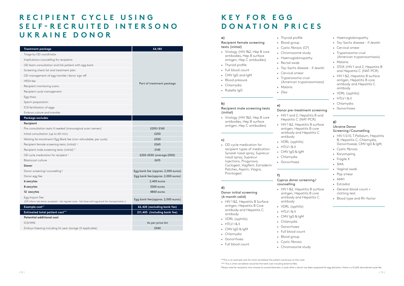### **R E C I P I E N T C Y C L E U S I N G S E L F - R E C R U I T E D I N T E R S O N O UKRAINE DONOR**

| <b>Treatment package</b>                                                                          | £4,180                             |
|---------------------------------------------------------------------------------------------------|------------------------------------|
| Triage by OD coordinator                                                                          |                                    |
| Implications counselling for recipients                                                           |                                    |
| OD team consultation and link patient with egg bank                                               |                                    |
| Screening check list and treatment plan                                                           |                                    |
| OD management of egg transfer/donor sign off                                                      |                                    |
| <b>HFEA</b> fee                                                                                   |                                    |
| Recipient monitoring scans                                                                        | Part of treatment package          |
| Recipient cycle management                                                                        |                                    |
| Egg thaw                                                                                          |                                    |
| Sperm preparation                                                                                 |                                    |
| ICSI fertilisation of eggs                                                                        |                                    |
| Embryo culture and transfer                                                                       |                                    |
| Package excludes                                                                                  |                                    |
| Recipient                                                                                         |                                    |
| Pre-consultation tests if needed (transvaginal scan/semen)                                        | £200/£165                          |
| Initial consultation (up to 60 min)                                                               | £250                               |
| Waiting list enrolment/Egg Bank fee (non-refundable, per cycle)                                   | £550                               |
| Recipient female screening tests (initial) <sup>a</sup>                                           | £565                               |
| Recipient male screening tests (initial) b                                                        | £145                               |
| OD cycle medication for recipient c                                                               | £200-£550 (average £300)           |
| Blastocyst culture                                                                                | £615                               |
| <b>Donor</b>                                                                                      |                                    |
| Donor screening/counselling <sup>9</sup>                                                          | Egg bank fee (approx. 2,000 euros) |
| Donor egg fee                                                                                     | Egg bank fee(approx. 2,000 euros)  |
| 6 oocytes                                                                                         | 2,400 euros                        |
| 8 oocytes                                                                                         | 3200 euros                         |
| 12 oocytes                                                                                        | 4800 euros                         |
| Egg Import Fee                                                                                    | Egg bank fee(approx. 2,000 euros)  |
| (OD inform lab donor accepted - lab register case - lab liaise with egg bank for transportation.) |                                    |
| Example cost**                                                                                    | £6,420 (excluding bank fee)        |
| Estimated total patient cost***                                                                   | £11,405 (including bank fee)       |
| <b>Potential additional cost</b>                                                                  |                                    |
| <b>ICSI/IMSI</b>                                                                                  | As per price list                  |
| Embryo freezing including 1st year storage (if applicable)                                        | £940                               |

- HIV 1 & 2, Hepatitis B Surface antigen, Hepatitis B Core antibody and Hepatitis C antibody
- VDRL (syphilis)
- HTLV | & II
- CMV IgG & IgM
- Chlamydia
- Gonorrhoea
- Full blood count

# **K E Y F O R E G G DONATION PRICES**

#### **a)**

#### Recipient female screening tests (initial)

- Virology (HIV 1&2, Hep B core antibodies, Hep B surface antigen, Hep C antibodies)
- Thyroid profile
- Full blood count
- CMV IgG and IgM
- Blood pressure
- Chlamydia
- Rubella IgG
- 

#### **b)** Recipient male screening tests (initial)

• Virology (HIV 1&2, Hep B core antibodies, Hep B surface antigen, Hep C antibodies)

#### **c)**

\*\*This is an example cost for what we believe the patient would pay to the Lister \*\*\* This is what we believe would be the total cost including external fees.

Please note for recipients who choose to cancel/abandon a cycle after a donor has been prepared for egg donation, there is a £1,665 abandoned cycle fee.

• OD cycle medication for recipient types of medication: Synarel nasal spray, Suprecur nasal spray, Suprecur injections, Progynova, Cyclogest, Vagifem, Estraderm Patches, Aspirin, Viagra, Prontogest

#### **d)**

#### Donor initial screening (6 month valid)

• Thyroid profile • Blood group

• Rectal swab

- Cystic fibrosis (CF)
- Chromosome study
- Haemoglobinopathy
- Tay-Sachs disease if Jewish
- Trypanosoma cruzi (American trypanosomiasis)

• Cervical smear

• Malaria • Zika

### **e)**

#### Donor pre-treatment screening

- 
- 
- HIV 1 and 2, Hepatitis B and Hepatitis C (NAT-PCR)
- HIV 1 & 2, Hepatitis B surface antigen, Hepatitis B core antibody and Hepatitis C antibody
- VDRL (syphilis)
- $\cdot$  HTLV  $|8$  II
- CMV IgG & IgM • Chlamydia
- Gonorrhoea
- 

### **f)**

#### Cyprus donor screening / counselling

- HIV 1 &2, Hepatitis B surface antigen, Hepatitis B core antibody and Hepatitis C antibody
- VDRL (syphilis)
- $\cdot$  HTLV  $|8$  II
- CMV IgG & IgM
- Chlamydia
- Gonorrhoea
- Full blood count
- Blood group
- Cystic fibrosis
- Chromosome study
- Haemoglobinopathy
- Tay-Sachs disease if Jewish
- Cervical smear
- Trypanosoma cruzi (American trypanosomiasis)
- Malaria
- STDX (HIV 1 and 2, Hepatitis B and Hepatitis C (NAT-PCR)
- HIV 1 & 2, Hepatitis B surface antigen, Hepatitis B core antibody and Hepatitis C antibody
- VDRL (syphilis)
- $\cdot$  HTLV  $8$  II
- Chlamydia
- Gonorrhoea

#### **g)**

#### Ukraine Donor Screening / Counselling

- HIV 1/2/0, T.Pallidum, Hepatitis B, Hepatitis C, Chlamydia, Gonorrhoeae, CMV IgG & IgM,
- Cystic fibrosis
- Karyotyping
- Fragile X
- SMA
- Vaginal swab
- Pap smear
- AMH
- Estradiol
- General blood count + clotting test
- Blood type and Rh-factor